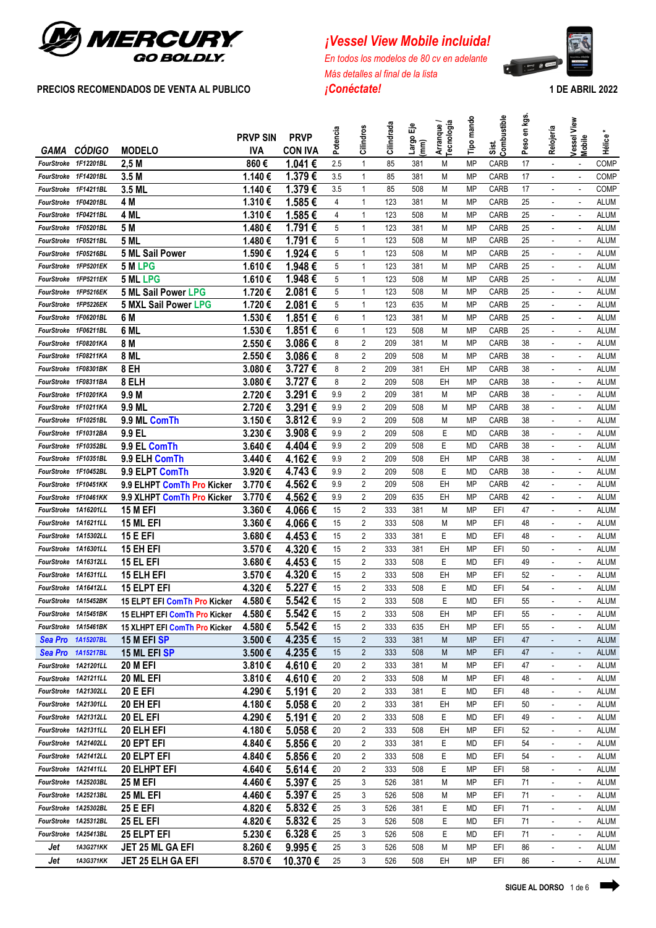

# **PRECIOS RECOMENDADOS DE VENTA AL PUBLICO** *¡Conéctate!* **1 DE ABRIL 2022**

*<i>¡Vessel View Mobile incluida!* 

*En todos los modelos de 80 cv en adelante Más detalles al final de la lista*



|                                              | <b>CÓDIGO</b>                                | <b>MODELO</b>                       | <b>PRVP SIN</b><br><b>IVA</b> | <b>PRVP</b><br><b>CON IVA</b> | Potencia | Cilindros           | Cilindrada | ৼ<br>Largo<br>(mm) | Arranque /<br>Tecnología | mando<br>Tipo          | Sist.<br>Combustible | en kgs.<br>Peso | Relojería                                  | View<br>Vessel<br>Mobile                             | Hélice <sup>-</sup>        |
|----------------------------------------------|----------------------------------------------|-------------------------------------|-------------------------------|-------------------------------|----------|---------------------|------------|--------------------|--------------------------|------------------------|----------------------|-----------------|--------------------------------------------|------------------------------------------------------|----------------------------|
| GAMA<br>FourStroke 1F12201BL                 |                                              |                                     | 860€                          | 1.041€                        | 2.5      | 1                   |            |                    | M                        | <b>MP</b>              |                      | 17              |                                            |                                                      | <b>COMP</b>                |
|                                              |                                              | 2,5M<br>3.5M                        | 1.140€                        | 1.379€                        | 3.5      | 1                   | 85<br>85   | 381<br>381         | M                        | MP                     | CARB<br>CARB         | 17              | ÷.                                         | $\sim$                                               | <b>COMP</b>                |
| FourStroke 1F14201BL                         |                                              |                                     |                               | 1.379€                        |          |                     |            |                    |                          |                        |                      |                 |                                            |                                                      |                            |
| FourStroke 1F14211BL                         |                                              | 3.5 ML                              | 1.140€                        |                               | 3.5      | 1                   | 85         | 508                | М                        | <b>MP</b>              | CARB                 | 17              | ÷.                                         |                                                      | <b>COMP</b>                |
| FourStroke                                   | 1F04201BL                                    | 4 M                                 | 1.310€                        | 1.585€                        | 4        | 1                   | 123        | 381                | M                        | <b>MP</b>              | CARB                 | 25              | ÷.                                         |                                                      | <b>ALUM</b>                |
| FourStroke 1F04211BL                         |                                              | 4 ML                                | 1.310€                        | 1.585€                        | 4        | 1                   | 123        | 508                | M                        | <b>MP</b>              | CARB                 | 25              | $\blacksquare$                             | $\sim$                                               | <b>ALUM</b>                |
|                                              | FourStroke 1F05201BL                         | 5 M                                 | 1.480€                        | 1.791€                        | 5        | 1                   | 123        | 381                | M                        | <b>MP</b>              | CARB                 | 25              | ä,                                         | $\sim$                                               | <b>ALUM</b>                |
|                                              | FourStroke 1F05211BL                         | <b>5 ML</b>                         | 1.480€                        | 1.791€                        | 5        | 1                   | 123        | 508                | М                        | <b>MP</b>              | CARB                 | 25              | $\blacksquare$                             | $\sim$                                               | <b>ALUM</b>                |
| FourStroke                                   | 1F05216BL<br>FourStroke 1FP5201EK            | <b>5 ML Sail Power</b>              | 1.590€                        | 1.924€                        | 5        | 1                   | 123        | 508                | М                        | MP                     | CARB                 | 25              | $\overline{\phantom{a}}$                   | $\sim$                                               | <b>ALUM</b>                |
|                                              |                                              | 5 M LPG                             | 1.610€                        | 1.948€                        | 5        | 1                   | 123        | 381                | M                        | <b>MP</b>              | <b>CARB</b>          | 25              | $\blacksquare$                             |                                                      | ALUM                       |
|                                              | FourStroke 1FP5211EK                         | <b>5 ML LPG</b>                     | 1.610€                        | 1.948€                        | 5        | 1                   | 123        | 508                | M                        | <b>MP</b>              | CARB                 | 25<br>25        | $\overline{\phantom{a}}$                   |                                                      | <b>ALUM</b><br><b>ALUM</b> |
|                                              | FourStroke 1FP5216EK                         | <b>5 ML Sail Power LPG</b>          | 1.720€                        | 2.081€                        | 5        | 1                   | 123        | 508                | M                        | MP                     | CARB                 |                 |                                            |                                                      |                            |
|                                              | FourStroke 1FP5226EK                         | <b>5 MXL Sail Power LPG</b><br>6 M  | 1.720€<br>1.530€              | 2.081€                        | 5<br>6   | 1<br>1              | 123<br>123 | 635<br>381         | M<br>M                   | <b>MP</b>              | CARB<br>CARB         | 25<br>25        |                                            |                                                      | ALUM                       |
| FourStroke 1F06201BL                         |                                              | 6 ML                                | 1.530€                        | 1.851€                        | 6        | 1                   |            |                    | M                        | MP                     |                      | 25              | $\blacksquare$<br>÷                        | ÷.                                                   | ALUM                       |
| FourStroke 1F06211BL<br>FourStroke 1F08201KA |                                              | 8 M                                 | 2.550€                        | 1.851€<br>3.086€              | 8        | 2                   | 123<br>209 | 508<br>381         | M                        | <b>MP</b><br><b>MP</b> | CARB<br>CARB         | 38              | $\overline{a}$                             | $\overline{a}$                                       | ALUM<br><b>ALUM</b>        |
|                                              | FourStroke 1F08211KA                         | 8 ML                                | 2.550€                        | 3.086€                        | 8        | 2                   | 209        | 508                | M                        | MP                     | CARB                 | 38              | ÷.                                         | $\sim$                                               | <b>ALUM</b>                |
|                                              | FourStroke 1F08301BK                         | 8 EH                                | 3.080€                        | 3.727€                        | 8        | 2                   | 209        | 381                | EH                       | MP                     | CARB                 | 38              | $\overline{a}$                             |                                                      | <b>ALUM</b>                |
| FourStroke 1F08311BA                         |                                              | 8 ELH                               | 3.080€                        | 3.727€                        | 8        | 2                   | 209        | 508                | EH                       | <b>MP</b>              | CARB                 | 38              | ÷.                                         |                                                      | <b>ALUM</b>                |
| FourStroke 1F10201KA                         |                                              | 9.9 M                               | 2.720€                        | 3.291€                        | 9.9      | 2                   | 209        | 381                | M                        | MP                     | CARB                 | 38              | $\blacksquare$                             | $\overline{\phantom{a}}$                             | <b>ALUM</b>                |
| FourStroke 1F10211KA                         |                                              | 9.9 ML                              | 2.720€                        | 3.291€                        | 9.9      | 2                   |            |                    |                          | <b>MP</b>              | CARB                 | 38              | $\blacksquare$                             | $\overline{\phantom{a}}$                             | <b>ALUM</b>                |
| <b>FourStroke</b>                            | 1F10251BL                                    |                                     | 3.150€                        | 3.812€                        | 9.9      | 2                   | 209<br>209 | 508                | M                        |                        | CARB                 |                 | ä,                                         | $\sim$                                               | <b>ALUM</b>                |
|                                              | FourStroke 1F10312BA                         | 9.9 ML ComTh<br>9.9 EL              | 3.230€                        | 3.908€                        | 9.9      | $\overline{2}$      |            | 508<br>508         | M<br>Ε                   | MP                     | CARB                 | 38<br>38        |                                            |                                                      | <b>ALUM</b>                |
|                                              | FourStroke 1F10352BL                         |                                     |                               | 4.404€                        | 9.9      | 2                   | 209<br>209 | 508                | E                        | MD<br>MD               | CARB                 | 38              | $\blacksquare$                             | $\overline{\phantom{a}}$<br>$\sim$                   | <b>ALUM</b>                |
| FourStroke                                   | 1F10351BL                                    | 9.9 EL ComTh                        | 3.640€                        | 4.162€                        | 9.9      | 2                   | 209        | 508                | EН                       | <b>MP</b>              | CARB                 | 38              | $\overline{\phantom{a}}$<br>$\blacksquare$ | $\sim$                                               | <b>ALUM</b>                |
| FourStroke                                   | 1F10452BL                                    | 9.9 ELH ComTh<br>9.9 ELPT ComTh     | 3.440€<br>3.920€              | 4.743€                        | 9.9      | 2                   | 209        | 508                | Ε                        | MD                     | CARB                 | 38              | $\mathbf{r}$                               | $\sim$                                               | ALUM                       |
|                                              | FourStroke 1F10451KK                         |                                     |                               | 4.562€                        | 9.9      | 2                   | 209        | 508                | EH                       | <b>MP</b>              | CARB                 | 42              |                                            |                                                      | ALUM                       |
|                                              |                                              | 9.9 ELHPT ComTh Pro Kicker          | 3.770€                        | 4.562€                        |          | 2                   |            |                    |                          |                        |                      | 42              | $\blacksquare$                             |                                                      |                            |
|                                              | FourStroke 1F10461KK                         | 9.9 XLHPT ComTh Pro Kicker          | 3.770€                        |                               | 9.9      | 2                   | 209        | 635                | EH                       | MP                     | CARB<br>EFI          | 47              | $\blacksquare$                             |                                                      | ALUM                       |
| FourStroke 1A16201LL                         |                                              | <b>15 M EFI</b>                     | 3.360€                        | 4.066€                        | 15<br>15 | 2                   | 333<br>333 | 381                | M<br>M                   | MP<br>MP               | EFI                  |                 |                                            |                                                      | <b>ALUM</b>                |
|                                              | FourStroke 1A16211LL<br>FourStroke 1A15302LL | 15 ML EFI                           | 3.360€                        | 4.066€<br>4.453€              |          |                     |            | 508                |                          |                        |                      | 48              |                                            |                                                      | ALUM                       |
|                                              | FourStroke 1A16301LL                         | <b>15 E EFI</b>                     | 3.680€                        |                               | 15       | 2<br>2              | 333        | 381                | Ε<br>EH                  | MD<br><b>MP</b>        | EFI<br>EFI           | 48<br>50        |                                            |                                                      | ALUM                       |
|                                              |                                              | 15 EH EFI                           | 3.570€<br>3.680€              | 4.320€                        | 15<br>15 | 2                   | 333        | 381                | E                        |                        | EFI                  |                 | $\ddot{\phantom{1}}$                       | $\ddot{\phantom{1}}$                                 | ALUM                       |
| FourStroke 1A16312LL                         |                                              | 15 EL EFI<br><b>15 ELH EFI</b>      |                               | 4.453€<br>4.320€              |          | 2                   | 333        | 508                |                          | MD                     |                      | 49              |                                            |                                                      | ALUM                       |
| FourStroke 1A16311LL<br>FourStroke 1A16412LL |                                              |                                     | 3.570€<br>4.320€              |                               | 15<br>15 | 2                   | 333<br>333 | 508<br>508         | EH<br>E                  | <b>MP</b>              | EFI<br>EFI           | 52<br>54        | $\ddot{\phantom{1}}$<br>ä,                 | $\overline{a}$<br>÷.                                 | <b>ALUM</b><br><b>ALUM</b> |
|                                              |                                              | 15 ELPT EFI                         | 4.580€                        | 5.227€<br>5.542€              |          | 2                   | 333        |                    | E                        | MD                     |                      |                 | ä,                                         |                                                      |                            |
| FourStroke 1A15452BK                         |                                              | <b>15 ELPT EFI ComTh Pro Kicker</b> |                               |                               | 15       |                     |            | 508                |                          | MD                     | EFI                  | 55              |                                            |                                                      | <b>ALUM</b>                |
|                                              | FourStroke 1A15451BK                         | 15 ELHPT EFI ComTh Pro Kicker       | 4.580€                        | 5.542€                        | 15       | 2<br>2              | 333        | 508                | EH                       | ΜP                     | EFI                  | 55              | $\blacksquare$                             | $\sim$                                               | <b>ALUM</b>                |
|                                              | FourStroke 1A15461BK                         | 15 XLHPT EFI ComTh Pro Kicker       | 4.580€                        | 5.542€                        | 15       |                     | 333        | 635                | EH                       | ΜP                     | EFI                  | 55              |                                            |                                                      | <b>ALUM</b>                |
|                                              | Sea Pro 1A15207BL                            | 15 M EFI SP                         | 3.500€                        | 4.235€                        | 15       | $\overline{c}$      | 333        | 381                | M                        | <b>MP</b>              | EFI                  | 47              | $\Box$                                     | ÷,                                                   | <b>ALUM</b>                |
| FourStroke 1A21201LL                         | Sea Pro 1A15217BL                            | 15 ML EFI SP                        | 3.500€                        | 4.235€                        | 15       | 2<br>$\overline{2}$ | 333        | 508                | M<br>M                   | <b>MP</b>              | EFI                  | 47<br>47        | ä,                                         | $\Box$                                               | <b>ALUM</b>                |
| FourStroke 1A21211LL                         |                                              | <b>20 M EFI</b>                     | 3.810€<br>3.810€              | 4.610€<br>4.610€              | 20       |                     | 333        | 381                |                          | ΜP                     | EFI                  |                 |                                            |                                                      | <b>ALUM</b>                |
| FourStroke 1A21302LL                         |                                              | 20 ML EFI<br><b>20 E EFI</b>        | 4.290€                        | 5.191€                        | 20<br>20 | 2<br>2              | 333<br>333 | 508<br>381         | M<br>Ε                   | ΜP                     | EFI<br>EFI           | 48<br>48        | $\blacksquare$<br>$\blacksquare$           | $\blacksquare$<br>$\sim$                             | <b>ALUM</b><br><b>ALUM</b> |
|                                              | FourStroke 1A21301LL                         | 20 EH EFI                           | 4.180€                        | 5.058€                        | 20       | 2                   | 333        | 381                | EH                       | MD<br>ΜP               | EFI                  | 50              | $\blacksquare$                             | $\overline{\phantom{a}}$                             | <b>ALUM</b>                |
|                                              | FourStroke 1A21312LL                         | 20 EL EFI                           | 4.290€                        | 5.191€                        | 20       | $\overline{2}$      | 333        | 508                | Ε                        | MD                     | EFI                  | 49              | ÷.                                         | $\overline{\phantom{a}}$                             | <b>ALUM</b>                |
|                                              | FourStroke 1A21311LL                         | 20 ELH EFI                          | 4.180€                        | 5.058€                        | 20       | $\overline{2}$      | 333        | 508                | EH                       | ΜP                     | EFI                  | 52              | ÷,                                         | $\overline{\phantom{a}}$                             | <b>ALUM</b>                |
| FourStroke 1A21402LL                         |                                              |                                     |                               |                               | 20       | 2                   | 333        | 381                | Е                        | MD                     | EFI                  | 54              |                                            |                                                      | <b>ALUM</b>                |
|                                              |                                              | 20 EPT EFI                          | 4.840€                        | 5.856€                        |          |                     |            |                    |                          |                        |                      |                 | $\blacksquare$                             | $\overline{\phantom{a}}$                             |                            |
|                                              | FourStroke 1A21412LL<br>FourStroke 1A21411LL | 20 ELPT EFI                         | 4.840€                        | 5.856€<br>5.614€              | 20<br>20 | 2<br>2              | 333<br>333 | 508<br>508         | Ε<br>Ε                   | MD<br>MP               | EFI<br>EFI           | 54<br>58        | $\blacksquare$                             | $\overline{\phantom{a}}$<br>$\overline{\phantom{a}}$ | <b>ALUM</b><br><b>ALUM</b> |
|                                              | FourStroke 1A25203BL                         | 20 ELHPT EFI                        | 4.640€                        | 5.397€                        |          |                     |            |                    |                          |                        |                      |                 | $\overline{\phantom{a}}$                   |                                                      |                            |
|                                              |                                              | <b>25 M EFI</b>                     | 4.460€                        |                               | 25       | 3                   | 526        | 381                | M                        | MP                     | EFI                  | 71              | $\overline{\phantom{a}}$                   | $\overline{\phantom{a}}$                             | <b>ALUM</b>                |
|                                              | FourStroke 1A25213BL                         | 25 ML EFI                           | 4.460€                        | 5.397€                        | 25       | 3                   | 526        | 508                | M                        | ΜP                     | EFI                  | 71              | ٠                                          | $\overline{\phantom{a}}$                             | <b>ALUM</b>                |
|                                              | FourStroke 1A25302BL                         | <b>25 E EFI</b>                     | 4.820€                        | 5.832€                        | 25       | 3                   | 526        | 381                | Ε                        | MD                     | EFI                  | 71              | $\overline{\phantom{a}}$                   | $\overline{\phantom{a}}$                             | <b>ALUM</b>                |
|                                              | FourStroke 1A25312BL                         | 25 EL EFI                           | 4.820€                        | 5.832€                        | 25       | 3                   | 526        | 508                | Ε                        | MD                     | EFI                  | 71              | $\overline{\phantom{a}}$                   | $\overline{\phantom{a}}$                             | <b>ALUM</b>                |
| FourStroke 1A25413BL                         |                                              | 25 ELPT EFI                         | 5.230€                        | 6.328€                        | 25       | 3                   | 526        | 508                | Ε                        | MD                     | EFI                  | 71              | $\blacksquare$                             | $\blacksquare$                                       | ALUM                       |
| Jet                                          | 1A3G271KK                                    | <b>JET 25 ML GA EFI</b>             | 8.260€                        | 9.995€                        | 25       | 3                   | 526        | 508                | M                        | ΜP                     | EFI                  | 86              | $\overline{\phantom{a}}$                   |                                                      | ALUM                       |
| Jet                                          | 1A3G371KK                                    | JET 25 ELH GA EFI                   | 8.570€                        | 10.370€                       | 25       | 3                   | 526        | 508                | EH                       | ΜP                     | EFI                  | 86              | $\overline{\phantom{a}}$                   | ÷                                                    | ALUM                       |

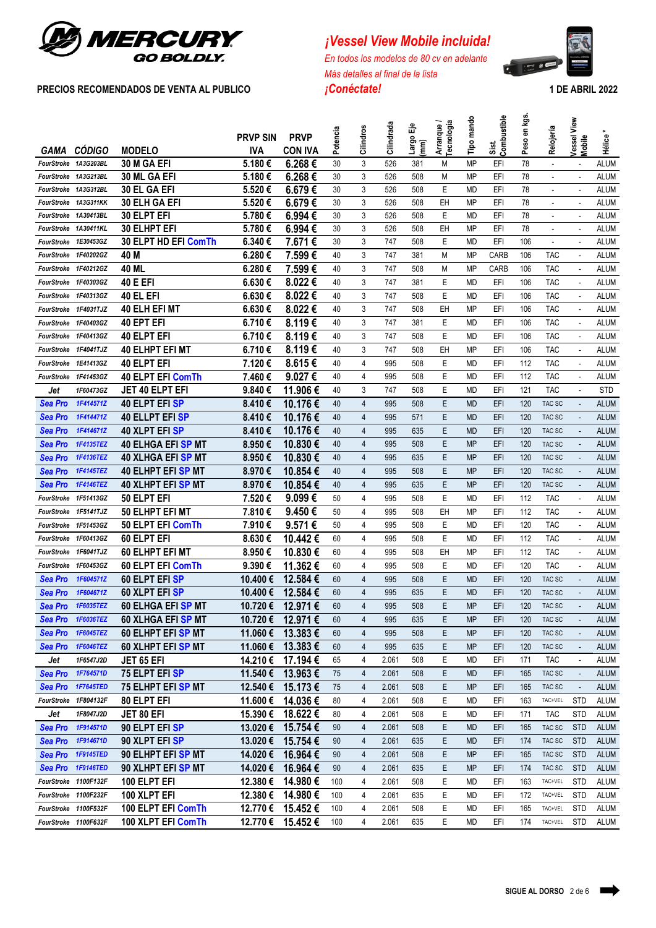

# *<i>¡Vessel View Mobile incluida!*

*En todos los modelos de 80 cv en adelante Más detalles al final de la lista* **PRECIOS RECOMENDADOS DE VENTA AL PUBLICO** *¡Conéctate!* **1 DE ABRIL 2022**



|                      |                      |                             | <b>PRVP SIN</b> | <b>PRVP</b>       | Potencia | Cilindros      | Cilindrada | ౼౼                                                                                                                                                                                                                                                                                                                                                                                                                                                                                                                                                                     | Arranque/<br>Tecnología | Tipo mando | Sist.<br>Combustible | Peso en kgs. | Relojería                | Vessel View              |             |
|----------------------|----------------------|-----------------------------|-----------------|-------------------|----------|----------------|------------|------------------------------------------------------------------------------------------------------------------------------------------------------------------------------------------------------------------------------------------------------------------------------------------------------------------------------------------------------------------------------------------------------------------------------------------------------------------------------------------------------------------------------------------------------------------------|-------------------------|------------|----------------------|--------------|--------------------------|--------------------------|-------------|
| GAMA                 | <b>CÓDIGO</b>        | <b>MODELO</b>               | <b>IVA</b>      | <b>CON IVA</b>    |          |                |            | $\begin{bmatrix}\n\text{diag} \\ \text{diag} \\ \text{diag} \\ \text{diag} \\ \text{diag} \\ \text{diag} \\ \text{diag} \\ \text{diag} \\ \text{diag} \\ \text{diag} \\ \text{diag} \\ \text{diag} \\ \text{diag} \\ \text{diag} \\ \text{diag} \\ \text{diag} \\ \text{diag} \\ \text{diag} \\ \text{diag} \\ \text{diag} \\ \text{diag} \\ \text{diag} \\ \text{diag} \\ \text{diag} \\ \text{diag} \\ \text{diag} \\ \text{diag} \\ \text{diag} \\ \text{diag} \\ \text{diag} \\ \text{diag} \\ \text{diag} \\ \text{diag} \\ \text{diag} \\ \text{diag} \\ \text{$ |                         |            |                      |              |                          | Mobile                   | Hélice*     |
| FourStroke 1A3G203BL |                      | 30 M GA EFI                 | 5.180€          | 6.268€            | 30       | 3              | 526        | 381                                                                                                                                                                                                                                                                                                                                                                                                                                                                                                                                                                    | M                       | <b>MP</b>  | EFI                  | 78           | $\omega$                 | $\sim$                   | <b>ALUM</b> |
| FourStroke 1A3G213BL |                      | <b>30 ML GA EFI</b>         | 5.180€          | 6.268€            | 30       | 3              | 526        | 508                                                                                                                                                                                                                                                                                                                                                                                                                                                                                                                                                                    | М                       | <b>MP</b>  | EFI                  | 78           | $\mathbf{r}$             | $\sim$                   | <b>ALUM</b> |
| FourStroke 1A3G312BL |                      | 30 EL GA EFI                | 5.520€          | 6.679€            | 30       | 3              | 526        | 508                                                                                                                                                                                                                                                                                                                                                                                                                                                                                                                                                                    | E                       | <b>MD</b>  | EFI                  | 78           | $\blacksquare$           | $\sim$                   | <b>ALUM</b> |
| FourStroke 1A3G311KK |                      | <b>30 ELH GA EFI</b>        | 5.520€          | 6.679€            | 30       | 3              | 526        | 508                                                                                                                                                                                                                                                                                                                                                                                                                                                                                                                                                                    | EH                      | <b>MP</b>  | EFI                  | 78           |                          |                          | <b>ALUM</b> |
| FourStroke 1A30413BL |                      | 30 ELPT EFI                 | 5.780€          | 6.994€            | 30       | 3              | 526        | 508                                                                                                                                                                                                                                                                                                                                                                                                                                                                                                                                                                    | E                       | MD         | EFI                  | 78           | $\overline{\phantom{a}}$ | $\blacksquare$           | <b>ALUM</b> |
| FourStroke 1A30411KL |                      | <b>30 ELHPT EFI</b>         | 5.780€          | 6.994€            | 30       | 3              | 526        | 508                                                                                                                                                                                                                                                                                                                                                                                                                                                                                                                                                                    | EH                      | MP         | EFI                  | 78           | $\blacksquare$           | ÷,                       | <b>ALUM</b> |
| FourStroke 1E30453GZ |                      | 30 ELPT HD EFI ComTh        | 6.340€          | 7.671 €           | 30       | 3              | 747        | 508                                                                                                                                                                                                                                                                                                                                                                                                                                                                                                                                                                    | E                       | MD         | EFI                  | 106          | $\blacksquare$           | ÷,                       | <b>ALUM</b> |
| FourStroke 1F40202GZ |                      | 40 M                        | 6.280€          | 7.599€            | 40       | 3              | 747        | 381                                                                                                                                                                                                                                                                                                                                                                                                                                                                                                                                                                    | М                       | MP         | CARB                 | 106          | <b>TAC</b>               | ÷,                       | <b>ALUM</b> |
| FourStroke 1F40212GZ |                      | 40 ML                       | 6.280€          | 7.599€            | 40       | 3              | 747        | 508                                                                                                                                                                                                                                                                                                                                                                                                                                                                                                                                                                    | М                       | <b>MP</b>  | CARB                 | 106          | <b>TAC</b>               |                          | <b>ALUM</b> |
| FourStroke 1F40303GZ |                      | <b>40 E EFI</b>             | 6.630€          | 8.022€            | 40       | 3              | 747        | 381                                                                                                                                                                                                                                                                                                                                                                                                                                                                                                                                                                    | E                       | <b>MD</b>  | EFI                  | 106          | <b>TAC</b>               | $\sim$                   | <b>ALUM</b> |
| FourStroke 1F40313GZ |                      | 40 EL EFI                   | 6.630€          | 8.022€            | 40       | 3              | 747        | 508                                                                                                                                                                                                                                                                                                                                                                                                                                                                                                                                                                    | E                       | <b>MD</b>  | EFI                  | 106          | <b>TAC</b>               | ÷,                       | <b>ALUM</b> |
| FourStroke 1F4031TJZ |                      | 40 ELH EFI MT               | 6.630€          | 8.022€            | 40       | 3              | 747        | 508                                                                                                                                                                                                                                                                                                                                                                                                                                                                                                                                                                    | EH                      | <b>MP</b>  | EFI                  | 106          | <b>TAC</b>               |                          | <b>ALUM</b> |
| FourStroke 1F40403GZ |                      | 40 EPT EFI                  | 6.710€          | 8.119€            | 40       | 3              | 747        | 381                                                                                                                                                                                                                                                                                                                                                                                                                                                                                                                                                                    | E                       | MD         | EFI                  | 106          | <b>TAC</b>               | ÷.                       | <b>ALUM</b> |
| FourStroke 1F40413GZ |                      | 40 ELPT EFI                 | 6.710€          | 8.119€            | 40       | 3              | 747        | 508                                                                                                                                                                                                                                                                                                                                                                                                                                                                                                                                                                    | E                       | MD         | EFI                  | 106          | <b>TAC</b>               | ÷,                       | <b>ALUM</b> |
| FourStroke 1F4041TJZ |                      | <b>40 ELHPT EFI MT</b>      | 6.710€          | 8.119€            | 40       | 3              | 747        | 508                                                                                                                                                                                                                                                                                                                                                                                                                                                                                                                                                                    | EH                      | <b>MP</b>  | EFI                  | 106          | <b>TAC</b>               |                          | <b>ALUM</b> |
| FourStroke           | 1E41413GZ            | <b>40 ELPT EFI</b>          | 7.120€          | 8.615€            | 40       | 4              | 995        | 508                                                                                                                                                                                                                                                                                                                                                                                                                                                                                                                                                                    | Ε                       | <b>MD</b>  | EFI                  | 112          | <b>TAC</b>               |                          | <b>ALUM</b> |
| FourStroke 1F41453GZ |                      | <b>40 ELPT EFI ComTh</b>    | 7.460€          | 9.027€            | 40       | 4              | 995        | 508                                                                                                                                                                                                                                                                                                                                                                                                                                                                                                                                                                    | Ε                       | MD         | EFI                  | 112          | <b>TAC</b>               |                          | <b>ALUM</b> |
| Jet                  | 1F60473GZ            | JET 40 ELPT EFI             | 9.840€          | 11.906€           | 40       | 3              | 747        | 508                                                                                                                                                                                                                                                                                                                                                                                                                                                                                                                                                                    | E                       | MD         | EFI                  | 121          | <b>TAC</b>               |                          | <b>STD</b>  |
| Sea Pro              | 1F414571Z            | 40 ELPT EFI <mark>SP</mark> | 8.410€          | 10.176€           | 40       | 4              | 995        | 508                                                                                                                                                                                                                                                                                                                                                                                                                                                                                                                                                                    | Ε                       | MD         | EFI                  | 120          | TAC SC                   |                          | <b>ALUM</b> |
| Sea Pro              | 1F414471Z            | <b>40 ELLPT EFI SP</b>      | 8.410€          | 10.176€           | 40       | 4              | 995        | 571                                                                                                                                                                                                                                                                                                                                                                                                                                                                                                                                                                    | E                       | <b>MD</b>  | EFI                  | 120          | TAC SC                   | $\overline{\phantom{a}}$ | <b>ALUM</b> |
| Sea Pro              | 1F414671Z            | <b>40 XLPT EFI SP</b>       | 8.410€          | 10.176€           | 40       | $\overline{4}$ | 995        | 635                                                                                                                                                                                                                                                                                                                                                                                                                                                                                                                                                                    | Ε                       | <b>MD</b>  | EFI                  | 120          | TAC SC                   | $\overline{\phantom{a}}$ | <b>ALUM</b> |
| Sea Pro              | 1F4135TEZ            | <b>40 ELHGA EFI SP MT</b>   | 8.950€          | 10.830€           | 40       | $\overline{4}$ | 995        | 508                                                                                                                                                                                                                                                                                                                                                                                                                                                                                                                                                                    | E                       | <b>MP</b>  | EFI                  | 120          | TAC SC                   | $\overline{\phantom{a}}$ | <b>ALUM</b> |
| Sea Pro              | 1F4136TEZ            | <b>40 XLHGA EFI SP MT</b>   | 8.950€          | 10.830€           | 40       | $\overline{4}$ | 995        | 635                                                                                                                                                                                                                                                                                                                                                                                                                                                                                                                                                                    | E                       | <b>MP</b>  | EFI                  | 120          | TAC SC                   | $\overline{\phantom{a}}$ | <b>ALUM</b> |
| Sea Pro              | 1F4145TEZ            | <b>40 ELHPT EFI SP MT</b>   | 8.970€          | 10.854€           | 40       | $\overline{4}$ | 995        | 508                                                                                                                                                                                                                                                                                                                                                                                                                                                                                                                                                                    | Ε                       | MP         | EFI                  | 120          | TAC SC                   | $\blacksquare$           | <b>ALUM</b> |
| Sea Pro              | 1F4146TEZ            | <b>40 XLHPT EFI SP MT</b>   | 8.970€          | 10.854€           | 40       | $\overline{4}$ | 995        | 635                                                                                                                                                                                                                                                                                                                                                                                                                                                                                                                                                                    | Ε                       | <b>MP</b>  | EFI                  | 120          | TAC SC                   | $\blacksquare$           | <b>ALUM</b> |
| FourStroke           | 1F51413GZ            | 50 ELPT EFI                 | 7.520€          | 9.099€            | 50       | 4              | 995        | 508                                                                                                                                                                                                                                                                                                                                                                                                                                                                                                                                                                    | E                       | MD         | EFI                  | 112          | <b>TAC</b>               | ÷,                       | <b>ALUM</b> |
| FourStroke           | 1F5141TJZ            | 50 ELHPT EFI MT             | 7.810€          | 9.450€            | 50       | 4              | 995        | 508                                                                                                                                                                                                                                                                                                                                                                                                                                                                                                                                                                    | EH                      | MP         | EFI                  | 112          | <b>TAC</b>               | ÷,                       | <b>ALUM</b> |
| FourStroke           | 1F51453GZ            | 50 ELPT EFI ComTh           | 7.910€          | 9.571€            | 50       | 4              | 995        | 508                                                                                                                                                                                                                                                                                                                                                                                                                                                                                                                                                                    | E                       | MD         | EFI                  | 120          | <b>TAC</b>               | ÷,                       | <b>ALUM</b> |
| FourStroke           | 1F60413GZ            | 60 ELPT EFI                 | 8.630€          | 10.442€           | 60       | 4              | 995        | 508                                                                                                                                                                                                                                                                                                                                                                                                                                                                                                                                                                    | Ε                       | MD         | EFI                  | 112          | <b>TAC</b>               | ÷,                       | <b>ALUM</b> |
| FourStroke           | 1F6041TJZ            | 60 ELHPT EFI MT             | 8.950€          | 10.830€           | 60       | 4              | 995        | 508                                                                                                                                                                                                                                                                                                                                                                                                                                                                                                                                                                    | EH                      | MP         | EFI                  | 112          | <b>TAC</b>               | $\overline{\phantom{a}}$ | <b>ALUM</b> |
| FourStroke 1F60453GZ |                      | 60 ELPT EFI ComTh           | 9.390€          | 11.362€           | 60       | 4              | 995        | 508                                                                                                                                                                                                                                                                                                                                                                                                                                                                                                                                                                    | Ε                       | MD         | EFI                  | 120          | <b>TAC</b>               | ÷,                       | <b>ALUM</b> |
| Sea Pro              | 1F604571Z            | 60 ELPT EFI SP              | 10.400€         | 12.584 €          | 60       | $\overline{4}$ | 995        | 508                                                                                                                                                                                                                                                                                                                                                                                                                                                                                                                                                                    | E                       | <b>MD</b>  | EFI                  | 120          | TAC SC                   | $\blacksquare$           | <b>ALUM</b> |
| Sea Pro              | 1F604671Z            | 60 XLPT EFISP               | 10.400€         | 12.584€           | 60       | $\overline{4}$ | 995        | 635                                                                                                                                                                                                                                                                                                                                                                                                                                                                                                                                                                    | E                       | <b>MD</b>  | EFI                  | 120          | TAC SC                   |                          | <b>ALUM</b> |
|                      | Sea Pro 1F6035TEZ    | 60 ELHGA EFI SP MT          |                 | 10.720 € 12.971 € | 60       | $\overline{4}$ | 995        | 508                                                                                                                                                                                                                                                                                                                                                                                                                                                                                                                                                                    | E                       | <b>MP</b>  | EFI                  | 120          | TAC SC                   |                          | ALUM        |
| Sea Pro              | <b>1F6036TEZ</b>     | <b>60 XLHGA EFI SP MT</b>   |                 | 10.720 € 12.971 € | 60       | 4              | 995        | 635                                                                                                                                                                                                                                                                                                                                                                                                                                                                                                                                                                    | Ε                       | <b>MP</b>  | EFI                  | 120          | TAC SC                   |                          | <b>ALUM</b> |
| Sea Pro              | 1F6045TEZ            | <b>60 ELHPT EFI SP MT</b>   | 11.060 €        | 13.383€           | 60       | 4              | 995        | 508                                                                                                                                                                                                                                                                                                                                                                                                                                                                                                                                                                    | Ε                       | <b>MP</b>  | EFI                  | 120          | TAC SC                   |                          | <b>ALUM</b> |
| Sea Pro              | 1F6046TEZ            | 60 XLHPT EFI SP MT          | 11.060 €        | 13.383 €          | 60       | $\overline{4}$ | 995        | 635                                                                                                                                                                                                                                                                                                                                                                                                                                                                                                                                                                    | Ε                       | <b>MP</b>  | EFI                  | 120          | TAC SC                   |                          | <b>ALUM</b> |
| Jet                  | 1F6547J2D            | JET 65 EFI                  |                 | 14.210 € 17.194 € | 65       | 4              | 2.061      | 508                                                                                                                                                                                                                                                                                                                                                                                                                                                                                                                                                                    | Ε                       | MD         | EFI                  | 171          | <b>TAC</b>               |                          | ALUM        |
| Sea Pro              | 1F764571D            | 75 ELPT EFI SP              | 11.540€         | 13.963€           | 75       | 4              | 2.061      | 508                                                                                                                                                                                                                                                                                                                                                                                                                                                                                                                                                                    | Ε                       | <b>MD</b>  | EFI                  | 165          | TAC SC                   |                          | <b>ALUM</b> |
| Sea Pro              | 1F7645TED            | 75 ELHPT EFI SP MT          | 12.540€         | 15.173€           | 75       | 4              | 2.061      | 508                                                                                                                                                                                                                                                                                                                                                                                                                                                                                                                                                                    | E                       | <b>MP</b>  | EFI                  | 165          | TAC SC                   |                          | <b>ALUM</b> |
| FourStroke 1F804132F |                      | 80 ELPT EFI                 | 11.600 €        | 14.036€           | 80       | 4              | 2.061      | 508                                                                                                                                                                                                                                                                                                                                                                                                                                                                                                                                                                    | Ε                       | MD         | EFI                  | 163          | TAC+VEL                  | <b>STD</b>               | ALUM        |
| Jet                  | 1F8047J2D            | JET 80 EFI                  | 15.390 €        | 18.622€           | 80       | 4              | 2.061      | 508                                                                                                                                                                                                                                                                                                                                                                                                                                                                                                                                                                    | E                       | МD         | EFI                  | 171          | <b>TAC</b>               | STD                      | ALUM        |
| Sea Pro              | 1F914571D            | 90 ELPT EFI SP              | 13.020€         | 15.754€           | 90       | 4              | 2.061      | 508                                                                                                                                                                                                                                                                                                                                                                                                                                                                                                                                                                    | Ε                       | MD         | EFI                  | 165          | TAC SC                   | <b>STD</b>               | <b>ALUM</b> |
| Sea Pro              | 1F914671D            | 90 XLPT EFI SP              | 13.020€         | 15.754€           | 90       | 4              | 2.061      | 635                                                                                                                                                                                                                                                                                                                                                                                                                                                                                                                                                                    | Ε                       | MD         | EFI                  | 174          | TAC SC                   | <b>STD</b>               | <b>ALUM</b> |
| Sea Pro              | 1F9145TED            | 90 ELHPT EFI SP MT          | 14.020 €        | 16.964€           | 90       | 4              | 2.061      | 508                                                                                                                                                                                                                                                                                                                                                                                                                                                                                                                                                                    | Ε                       | <b>MP</b>  | EFI                  | 165          | TAC SC                   | <b>STD</b>               | <b>ALUM</b> |
|                      | Sea Pro 1F9146TED    | 90 XLHPT EFI SP MT          | 14.020 €        | 16.964€           | 90       | 4              | 2.061      | 635                                                                                                                                                                                                                                                                                                                                                                                                                                                                                                                                                                    | Ε                       | <b>MP</b>  | EFI                  | 174          | TAC SC                   | <b>STD</b>               | <b>ALUM</b> |
| FourStroke 1100F132F |                      | 100 ELPT EFI                | 12.380€         | 14.980€           | 100      | 4              | 2.061      | 508                                                                                                                                                                                                                                                                                                                                                                                                                                                                                                                                                                    | Ε                       | MD         | EFI                  | 163          | TAC+VEL                  | <b>STD</b>               | ALUM        |
| FourStroke 1100F232F |                      | 100 XLPT EFI                | 12.380€         | 14.980€           | 100      | 4              | 2.061      | 635                                                                                                                                                                                                                                                                                                                                                                                                                                                                                                                                                                    | Ε                       | MD         | EFI                  | 172          | TAC+VEL                  | <b>STD</b>               | ALUM        |
|                      | FourStroke 1100F532F | 100 ELPT EFI ComTh          | 12.770€         | 15.452 €          | 100      | 4              | 2.061      | 508                                                                                                                                                                                                                                                                                                                                                                                                                                                                                                                                                                    | Ε                       | MD         | EFI                  | 165          | TAC+VEL                  | <b>STD</b>               | ALUM        |
| FourStroke 1100F632F |                      | 100 XLPT EFI ComTh          | 12.770 €        | 15.452€           | 100      | 4              | 2.061      | 635                                                                                                                                                                                                                                                                                                                                                                                                                                                                                                                                                                    | Ε                       | MD         | EFI                  | 174          | TAC+VEL                  | <b>STD</b>               | ALUM        |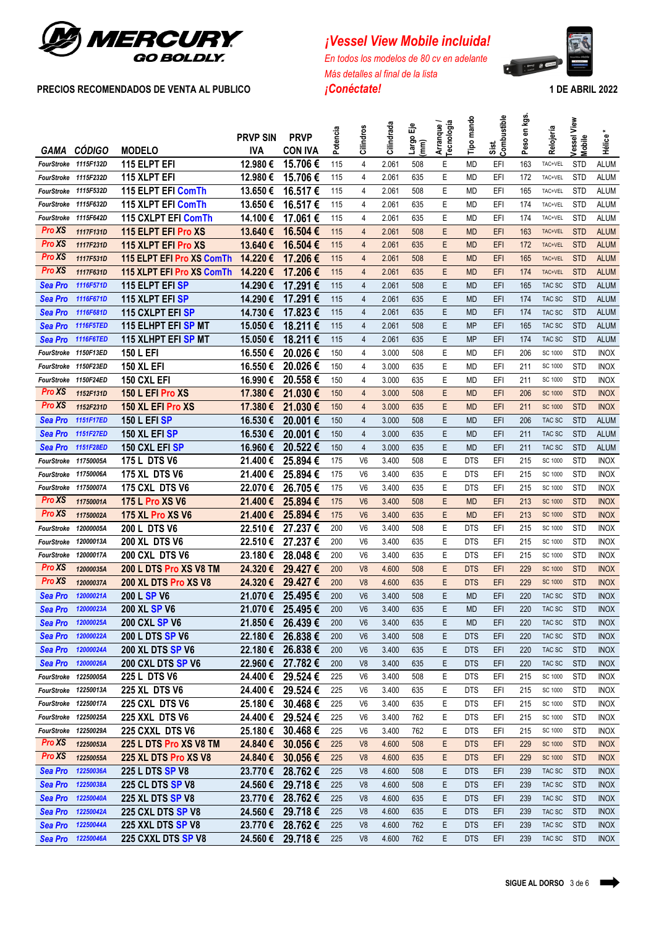

# *<i>¡Vessel View Mobile incluida!*

*En todos los modelos de 80 cv en adelante Más detalles al final de la lista* **PRECIOS RECOMENDADOS DE VENTA AL PUBLICO** *¡Conéctate!* **1 DE ABRIL 2022**

 $\mathbf{r} = \mathbf{r}$ Ō

| GAMA                 | <b>CÓDIGO</b>    | <b>MODELO</b>             | <b>PRVP SIN</b><br><b>IVA</b> | <b>PRVP</b><br><b>CON IVA</b> | Potencia | Cilindros      | Cilindrada | ٣<br>largo l<br>$\widehat{E}$ | Arranque /<br>Tecnología | Tipo mando | Combustible<br>Sist. | Peso en kgs. | Relojería      | Vessel View<br><b>Mobile</b> | Hélice <sup>-</sup> |
|----------------------|------------------|---------------------------|-------------------------------|-------------------------------|----------|----------------|------------|-------------------------------|--------------------------|------------|----------------------|--------------|----------------|------------------------------|---------------------|
| FourStroke           | 1115F132D        | <b>115 ELPT EFI</b>       | 12.980€                       | 15.706€                       | 115      | $\overline{4}$ | 2.061      | 508                           | Е                        | <b>MD</b>  | EFI                  | 163          | TAC+VEL        | <b>STD</b>                   | <b>ALUM</b>         |
| FourStroke 1115F232D |                  | <b>115 XLPT EFI</b>       | 12.980€                       | 15.706€                       | 115      | $\overline{4}$ | 2.061      | 635                           | Ε                        | <b>MD</b>  | EFI                  | 172          | TAC+VEL        | <b>STD</b>                   | <b>ALUM</b>         |
| FourStroke           | 1115F532D        | 115 ELPT EFI ComTh        | 13.650€                       | 16.517€                       | 115      | $\overline{4}$ | 2.061      | 508                           | E                        | <b>MD</b>  | EFI                  | 165          | TAC+VEL        | <b>STD</b>                   | <b>ALUM</b>         |
| FourStroke 1115F632D |                  | 115 XLPT EFI ComTh        | 13.650€                       | 16.517 €                      | 115      | 4              | 2.061      | 635                           | Ε                        | MD         | EFI                  | 174          | TAC+VEL        | <b>STD</b>                   | <b>ALUM</b>         |
| FourStroke           | 1115F642D        | 115 CXLPT EFI ComTh       | 14.100€                       | 17.061 €                      | 115      | $\overline{4}$ | 2.061      | 635                           | E                        | <b>MD</b>  | EFI                  | 174          | TAC+VEL        | <b>STD</b>                   | <b>ALUM</b>         |
| <b>Pro XS</b>        | 1117F131D        | 115 ELPT EFI Pro XS       | 13.640€                       | 16.504€                       | 115      | $\overline{4}$ | 2.061      | 508                           | E                        | <b>MD</b>  | EFI                  | 163          | TAC+VEL        | <b>STD</b>                   | <b>ALUM</b>         |
| <b>Pro XS</b>        | 1117F231D        | 115 XLPT EFI Pro XS       | 13.640€                       | 16.504€                       | 115      | $\overline{4}$ | 2.061      | 635                           | E                        | <b>MD</b>  | EFI                  | 172          | TAC+VEL        | <b>STD</b>                   | <b>ALUM</b>         |
| Pro XS               | 1117F531D        | 115 ELPT EFI Pro XS ComTh | 14.220€                       | 17.206€                       | 115      | $\overline{4}$ | 2.061      | 508                           | E                        | <b>MD</b>  | EFI                  | 165          | TAC+VEL        | <b>STD</b>                   | <b>ALUM</b>         |
| Pro XS               | 1117F631D        | 115 XLPT EFI Pro XS ComTh | 14.220€                       | 17.206€                       | 115      | $\overline{4}$ | 2.061      | 635                           | E                        | <b>MD</b>  | EFI                  | 174          | TAC+VEL        | <b>STD</b>                   | <b>ALUM</b>         |
| Sea Pro              | 1116F571D        | 115 ELPT EFI SP           | 14.290€                       | 17.291 €                      | 115      | $\overline{4}$ | 2.061      | 508                           | E                        | <b>MD</b>  | EFI                  | 165          | TAC SC         | <b>STD</b>                   | <b>ALUM</b>         |
| Sea Pro              | 1116F671D        | <b>115 XLPT EFI SP</b>    | 14.290€                       | 17.291€                       | 115      | $\overline{4}$ | 2.061      | 635                           | E                        | <b>MD</b>  | EFI                  | 174          | TAC SC         | <b>STD</b>                   | <b>ALUM</b>         |
| Sea Pro              | 1116F681D        | 115 CXLPT EFISP           | 14.730€                       | 17.823€                       | 115      | $\overline{4}$ | 2.061      | 635                           | E                        | <b>MD</b>  | EFI                  | 174          | TAC SC         | <b>STD</b>                   | <b>ALUM</b>         |
| <b>Sea Pro</b>       | 1116F5TED        | 115 ELHPT EFI SP MT       | 15.050€                       | 18.211€                       | 115      | $\overline{4}$ | 2.061      | 508                           | E                        | <b>MP</b>  | EFI                  | 165          | TAC SC         | <b>STD</b>                   | <b>ALUM</b>         |
| Sea Pro              | 1116F6TED        | 115 XLHPT EFI SP MT       | 15.050€                       | 18.211 €                      | 115      | $\overline{4}$ | 2.061      | 635                           | E                        | <b>MP</b>  | EFI                  | 174          | TAC SC         | <b>STD</b>                   | <b>ALUM</b>         |
| FourStroke           | <b>1150F13ED</b> | <b>150 L EFI</b>          | 16.550€                       | 20.026€                       | 150      | $\overline{4}$ | 3.000      | 508                           | Е                        | <b>MD</b>  | EFI                  | 206          | SC 1000        | <b>STD</b>                   | <b>INOX</b>         |
| FourStroke           | <b>1150F23ED</b> | <b>150 XL EFI</b>         | 16.550€                       | 20.026€                       | 150      | $\overline{4}$ | 3.000      | 635                           | Е                        | <b>MD</b>  | EFI                  | 211          | SC 1000        | <b>STD</b>                   | <b>INOX</b>         |
| FourStroke           | 1150F24ED        | 150 CXL EFI               | 16.990€                       | 20.558€                       | 150      | $\overline{4}$ | 3.000      | 635                           | Ε                        | MD         | EFI                  | 211          | SC 1000        | <b>STD</b>                   | <b>INOX</b>         |
| <b>Pro XS</b>        | 1152F131D        | 150 L EFI Pro XS          | 17.380€                       | 21.030€                       | 150      | $\overline{4}$ | 3.000      | 508                           | E                        | <b>MD</b>  | EFI                  | 206          | <b>SC 1000</b> | <b>STD</b>                   | <b>INOX</b>         |
| Pro XS               | 1152F231D        | 150 XL EFI Pro XS         | 17.380€                       | 21.030€                       | 150      | $\overline{4}$ | 3.000      | 635                           | E                        | <b>MD</b>  | EFI                  | 211          | <b>SC 1000</b> | <b>STD</b>                   | <b>INOX</b>         |
| Sea Pro              | 1151F17ED        | <b>150 L EFI SP</b>       | 16.530€                       | 20.001€                       | 150      | $\overline{4}$ | 3.000      | 508                           | E                        | <b>MD</b>  | EFI                  | 206          | TAC SC         | <b>STD</b>                   | <b>ALUM</b>         |
| Sea Pro              | 1151F27ED        | <b>150 XL EFI SP</b>      | 16.530€                       | 20.001€                       | 150      | $\overline{4}$ | 3.000      | 635                           | Ε                        | <b>MD</b>  | EFI                  | 211          | TAC SC         | <b>STD</b>                   | <b>ALUM</b>         |
| Sea Pro              | 1151F28ED        | 150 CXL EFI SP            | 16.960€                       | 20.522€                       | 150      | $\overline{4}$ | 3.000      | 635                           | E                        | <b>MD</b>  | EFI                  | 211          | TAC SC         | <b>STD</b>                   | <b>ALUM</b>         |
| <b>FourStroke</b>    | 11750005A        | 175 L DTS V6              | 21.400€                       | 25.894€                       | 175      | V <sub>6</sub> | 3.400      | 508                           | Ε                        | <b>DTS</b> | EFI                  | 215          | SC 1000        | <b>STD</b>                   | <b>INOX</b>         |
| FourStroke           | 11750006A        | <b>175 XL DTS V6</b>      | 21.400€                       | 25.894€                       | 175      | V <sub>6</sub> | 3.400      | 635                           | E                        | <b>DTS</b> | EFI                  | 215          | SC 1000        | <b>STD</b>                   | <b>INOX</b>         |
| FourStroke           | 11750007A        | 175 CXL DTS V6            | 22.070€                       | 26.705€                       | 175      | V <sub>6</sub> | 3.400      | 635                           | E                        | <b>DTS</b> | EFI                  | 215          | SC 1000        | <b>STD</b>                   | <b>INOX</b>         |
| <b>Pro XS</b>        | 11750001A        | 175 L Pro XS V6           | 21.400€                       | 25.894€                       | 175      | V <sub>6</sub> | 3.400      | 508                           | E                        | <b>MD</b>  | EFI                  | 213          | <b>SC 1000</b> | <b>STD</b>                   | <b>INOX</b>         |
| Pro XS               | 11750002A        | <b>175 XL Pro XS V6</b>   | 21.400€                       | 25.894€                       | 175      | V <sub>6</sub> | 3.400      | 635                           | E                        | <b>MD</b>  | EFI                  | 213          | <b>SC 1000</b> | <b>STD</b>                   | <b>INOX</b>         |
| FourStroke           | 12000005A        | 200 L DTS V6              | 22.510€                       | 27.237€                       | 200      | V <sub>6</sub> | 3.400      | 508                           | Ε                        | <b>DTS</b> | EFI                  | 215          | SC 1000        | <b>STD</b>                   | <b>INOX</b>         |
| FourStroke           | 12000013A        | <b>200 XL DTS V6</b>      | 22.510€                       | 27.237€                       | 200      | V <sub>6</sub> | 3.400      | 635                           | Ε                        | <b>DTS</b> | EFI                  | 215          | SC 1000        | <b>STD</b>                   | <b>INOX</b>         |
| FourStroke           | 12000017A        | 200 CXL DTS V6            | 23.180€                       | 28.048€                       | 200      | V <sub>6</sub> | 3.400      | 635                           | E                        | <b>DTS</b> | EFI                  | 215          | SC 1000        | <b>STD</b>                   | <b>INOX</b>         |
| <b>Pro XS</b>        | 12000035A        | 200 L DTS Pro XS V8 TM    | 24.320€                       | 29.427€                       | 200      | V <sub>8</sub> | 4.600      | 508                           | E                        | <b>DTS</b> | EFI                  | 229          | <b>SC 1000</b> | <b>STD</b>                   | <b>INOX</b>         |
| <b>Pro XS</b>        | 12000037A        | 200 XL DTS Pro XS V8      | 24.320€                       | 29.427€                       | 200      | V <sub>8</sub> | 4.600      | 635                           | E                        | <b>DTS</b> | EFI                  | 229          | <b>SC 1000</b> | <b>STD</b>                   | <b>INOX</b>         |
| Sea Pro              | 12000021A        | 200 L SP V6               | 21.070€                       | 25.495 €                      | 200      | V <sub>6</sub> | 3.400      | 508                           | E                        | <b>MD</b>  | <b>EFI</b>           | 220          | TAC SC         | <b>STD</b>                   | <b>INOX</b>         |
| Sea Pro              | 12000023A        | 200 XL SP V6              |                               | 21.070 € 25.495 €             | 200      | V6             | 3.400      | 635                           | E                        | <b>MD</b>  | 배                    | 220          | TAC SC         | <b>STD</b>                   | <b>INOX</b>         |
| Sea Pro              | 12000025A        | <b>200 CXL SP V6</b>      |                               | 21.850 € 26.439 €             | 200      | V <sub>6</sub> | 3.400      | 635                           | Ε                        | <b>MD</b>  | EFI                  | 220          | TAC SC         | <b>STD</b>                   | <b>INOX</b>         |
| Sea Pro              | 12000022A        | 200 L DTS SP V6           | 22.180 €                      | 26.838€                       | 200      | V <sub>6</sub> | 3.400      | 508                           | Ε                        | <b>DTS</b> | EFI                  | 220          | TAC SC         | <b>STD</b>                   | <b>INOX</b>         |
| Sea Pro              | 12000024A        | <b>200 XL DTS SP V6</b>   | 22.180 €                      | 26.838€                       | 200      | V <sub>6</sub> | 3.400      | 635                           | E                        | <b>DTS</b> | EFI                  | 220          | TAC SC         | <b>STD</b>                   | <b>INOX</b>         |
| Sea Pro              | 12000026A        | <b>200 CXL DTS SP V6</b>  | 22.960 €                      | 27.782€                       | 200      | V <sub>8</sub> | 3.400      | 635                           | E                        | <b>DTS</b> | EFI                  | 220          | TAC SC         | <b>STD</b>                   | <b>INOX</b>         |
| FourStroke 12250005A |                  | 225 L DTS V6              | 24.400 €                      | 29.524 €                      | 225      | V <sub>6</sub> | 3.400      | 508                           | Ε                        | <b>DTS</b> | EFI                  | 215          | SC 1000        | <b>STD</b>                   | <b>INOX</b>         |
| FourStroke 12250013A |                  | 225 XL DTS V6             | 24.400 €                      | 29.524 €                      | 225      | V <sub>6</sub> | 3.400      | 635                           | E.                       | <b>DTS</b> | EFI                  | 215          | SC 1000        | <b>STD</b>                   | INOX                |
| FourStroke 12250017A |                  | 225 CXL DTS V6            | 25.180 €                      | 30.468€                       | 225      | V <sub>6</sub> | 3.400      | 635                           | Ε                        | <b>DTS</b> | EFI                  | 215          | SC 1000        | <b>STD</b>                   | <b>INOX</b>         |
| FourStroke 12250025A |                  | 225 XXL DTS V6            |                               | 24.400 € 29.524 €             | 225      | V <sub>6</sub> | 3.400      | 762                           | Ε                        | <b>DTS</b> | EFI                  | 215          | SC 1000        | <b>STD</b>                   | <b>INOX</b>         |
| FourStroke 12250029A |                  | 225 CXXL DTS V6           | 25.180€                       | 30.468€                       | 225      | V <sub>6</sub> | 3.400      | 762                           | Ε                        | <b>DTS</b> | EFI                  | 215          | SC 1000        | <b>STD</b>                   | <b>INOX</b>         |
| <b>Pro XS</b>        | 12250053A        | 225 L DTS Pro XS V8 TM    | 24.840 €                      | 30.056€                       | 225      | V <sub>8</sub> | 4.600      | 508                           | Ε                        | <b>DTS</b> | EFI                  | 229          | <b>SC 1000</b> | <b>STD</b>                   | <b>INOX</b>         |
| Pro XS               | 12250055A        | 225 XL DTS Pro XS V8      |                               | 24.840 € 30.056 €             | 225      | V <sub>8</sub> | 4.600      | 635                           | E                        | <b>DTS</b> | EFI                  | 229          | <b>SC 1000</b> | <b>STD</b>                   | <b>INOX</b>         |
| Sea Pro              | 12250036A        | 225 L DTS SP V8           | 23.770€                       | 28.762€                       | 225      | V <sub>8</sub> | 4.600      | 508                           | E                        | <b>DTS</b> | EFI                  | 239          | TAC SC         | <b>STD</b>                   | <b>INOX</b>         |
| Sea Pro              | 12250038A        | <b>225 CL DTS SP V8</b>   |                               | 24.560 € 29.718 €             | 225      | V <sub>8</sub> | 4.600      | 508                           | Ε                        | <b>DTS</b> | EFI                  | 239          | TAC SC         | <b>STD</b>                   | <b>INOX</b>         |
| Sea Pro              | 12250040A        | <b>225 XL DTS SP V8</b>   |                               | 23.770 € 28.762 €             | 225      | V <sub>8</sub> | 4.600      | 635                           | Ε                        | <b>DTS</b> | EFI                  | 239          | TAC SC         | <b>STD</b>                   | <b>INOX</b>         |
| Sea Pro              | 12250042A        | <b>225 CXL DTS SP V8</b>  | 24.560€                       | 29.718€                       | 225      | V <sub>8</sub> | 4.600      | 635                           | Ε                        | <b>DTS</b> | EFI                  | 239          | TAC SC         | <b>STD</b>                   | <b>INOX</b>         |
| Sea Pro              | 12250044A        | 225 XXL DTS SP V8         |                               | 23.770 € 28.762 €             | 225      | V <sub>8</sub> | 4.600      | 762                           | E                        | <b>DTS</b> | EFI                  | 239          | TAC SC         | <b>STD</b>                   | <b>INOX</b>         |
| Sea Pro 12250046A    |                  | 225 CXXL DTS SP V8        |                               | 24.560 € 29.718 €             | 225      | V <sub>8</sub> | 4.600      | 762                           | E                        | <b>DTS</b> | EFI                  | 239          | TAC SC         | <b>STD</b>                   | <b>INOX</b>         |
|                      |                  |                           |                               |                               |          |                |            |                               |                          |            |                      |              |                |                              |                     |

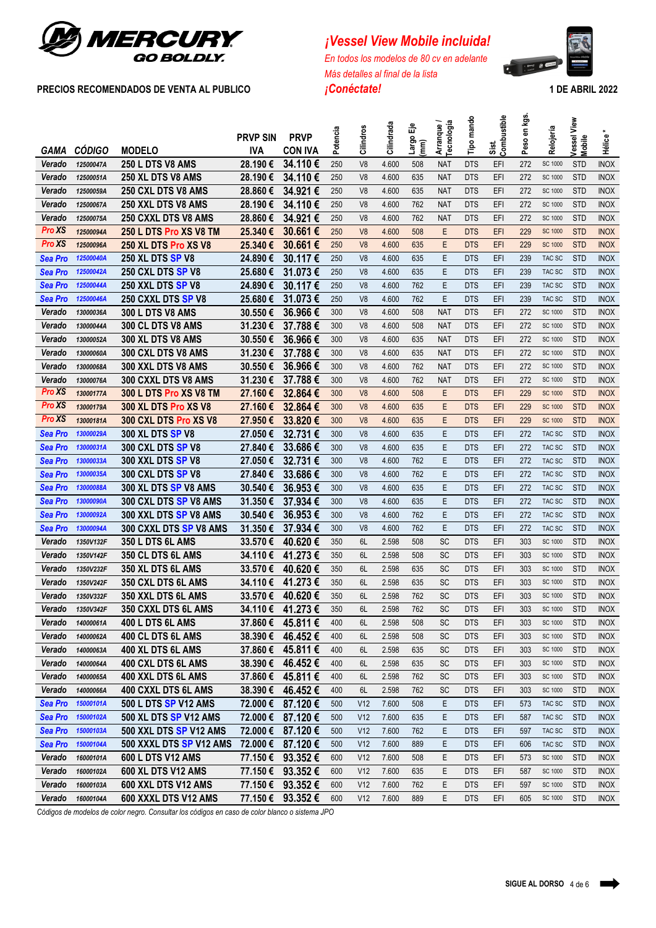

# *¡Vessel View Mobile incluida!*

*En todos los modelos de 80 cv en adelante Más detalles al final de la lista* **PRECIOS RECOMENDADOS DE VENTA AL PUBLICO** *¡Conéctate!* **1 DE ABRIL 2022**





|                |               |                            | <b>PRVP SIN</b> | <b>PRVP</b>       | Potencia | Cilindros       | Cilindrada | 偳             | Arranque/<br>Tecnología | Tipo mando | Sist.<br>Combustible | en kgs. | Relojería      | Vessel View |             |
|----------------|---------------|----------------------------|-----------------|-------------------|----------|-----------------|------------|---------------|-------------------------|------------|----------------------|---------|----------------|-------------|-------------|
| <b>GAMA</b>    | <b>CÓDIGO</b> | <b>MODELO</b>              | <b>IVA</b>      | <b>CON IVA</b>    |          |                 |            | Largo<br>(mm) |                         |            |                      | Peso    |                | Mobile      | Hélice*     |
| Verado         | 12500047A     | <b>250 L DTS V8 AMS</b>    | 28.190€         | 34.110€           | 250      | V <sub>8</sub>  | 4.600      | 508           | <b>NAT</b>              | <b>DTS</b> | EFI                  | 272     | SC 1000        | <b>STD</b>  | <b>INOX</b> |
| Verado         | 12500051A     | 250 XL DTS V8 AMS          | 28.190€         | 34.110€           | 250      | V <sub>8</sub>  | 4.600      | 635           | <b>NAT</b>              | <b>DTS</b> | EFI                  | 272     | SC 1000        | <b>STD</b>  | <b>INOX</b> |
| Verado         | 12500059A     | 250 CXL DTS V8 AMS         | 28.860€         | 34.921€           | 250      | V <sub>8</sub>  | 4.600      | 635           | <b>NAT</b>              | <b>DTS</b> | EFI                  | 272     | SC 1000        | <b>STD</b>  | <b>INOX</b> |
| Verado         | 12500067A     | 250 XXL DTS V8 AMS         | 28.190€         | 34.110€           | 250      | V <sub>8</sub>  | 4.600      | 762           | <b>NAT</b>              | <b>DTS</b> | EFI                  | 272     | SC 1000        | <b>STD</b>  | <b>INOX</b> |
| Verado         | 12500075A     | <b>250 CXXL DTS V8 AMS</b> | 28.860€         | 34.921€           | 250      | V <sub>8</sub>  | 4.600      | 762           | <b>NAT</b>              | <b>DTS</b> | EFI                  | 272     | SC 1000        | <b>STD</b>  | <b>INOX</b> |
| <b>Pro XS</b>  | 12500094A     | 250 L DTS Pro XS V8 TM     | 25.340€         | 30.661€           | 250      | V <sub>8</sub>  | 4.600      | 508           | E                       | <b>DTS</b> | EFI                  | 229     | <b>SC 1000</b> | <b>STD</b>  | <b>INOX</b> |
| <b>Pro XS</b>  | 12500096A     | 250 XL DTS Pro XS V8       | 25.340€         | 30,661€           | 250      | V <sub>8</sub>  | 4.600      | 635           | Ε                       | <b>DTS</b> | EFI                  | 229     | <b>SC 1000</b> | <b>STD</b>  | <b>INOX</b> |
| Sea Pro        | 12500040A     | <b>250 XL DTS SP V8</b>    | 24.890€         | 30.117€           | 250      | V <sub>8</sub>  | 4.600      | 635           | E                       | <b>DTS</b> | EFI                  | 239     | TAC SC         | <b>STD</b>  | <b>INOX</b> |
| <b>Sea Pro</b> | 12500042A     | 250 CXL DTS SP V8          | 25.680€         | 31.073€           | 250      | V <sub>8</sub>  | 4.600      | 635           | Ε                       | <b>DTS</b> | EFI                  | 239     | TAC SC         | <b>STD</b>  | <b>INOX</b> |
| Sea Pro        | 12500044A     | 250 XXL DTS SP V8          | 24.890€         | 30.117€           | 250      | V <sub>8</sub>  | 4.600      | 762           | Ε                       | <b>DTS</b> | EFI                  | 239     | TAC SC         | <b>STD</b>  | <b>INOX</b> |
| <b>Sea Pro</b> | 12500046A     | 250 CXXL DTS SP V8         | 25.680€         | 31.073€           | 250      | V <sub>8</sub>  | 4.600      | 762           | E                       | <b>DTS</b> | EFI                  | 239     | TAC SC         | <b>STD</b>  | <b>INOX</b> |
| Verado         | 13000036A     | <b>300 L DTS V8 AMS</b>    | 30.550€         | 36.966€           | 300      | V <sub>8</sub>  | 4.600      | 508           | <b>NAT</b>              | <b>DTS</b> | EFI                  | 272     | SC 1000        | <b>STD</b>  | <b>INOX</b> |
| <b>Verado</b>  | 13000044A     | 300 CL DTS V8 AMS          | 31.230€         | 37.788€           | 300      | V <sub>8</sub>  | 4.600      | 508           | <b>NAT</b>              | <b>DTS</b> | EFI                  | 272     | SC 1000        | <b>STD</b>  | <b>INOX</b> |
| Verado         | 13000052A     | 300 XL DTS V8 AMS          | 30.550€         | 36.966€           | 300      | V <sub>8</sub>  | 4.600      | 635           | <b>NAT</b>              | <b>DTS</b> | EFI                  | 272     | SC 1000        | <b>STD</b>  | <b>INOX</b> |
| Verado         | 13000060A     | 300 CXL DTS V8 AMS         | 31.230€         | 37.788€           | 300      | V <sub>8</sub>  | 4.600      | 635           | <b>NAT</b>              | <b>DTS</b> | EFI                  | 272     | SC 1000        | <b>STD</b>  | <b>INOX</b> |
| Verado         | 13000068A     | 300 XXL DTS V8 AMS         | 30.550€         | 36.966€           | 300      | V <sub>8</sub>  | 4.600      | 762           | <b>NAT</b>              | <b>DTS</b> | EFI                  | 272     | SC 1000        | <b>STD</b>  | <b>INOX</b> |
| Verado         | 13000076A     | 300 CXXL DTS V8 AMS        | 31.230€         | 37.788€           | 300      | V <sub>8</sub>  | 4.600      | 762           | <b>NAT</b>              | <b>DTS</b> | EFI                  | 272     | SC 1000        | <b>STD</b>  | <b>INOX</b> |
| Pro XS         | 13000177A     | 300 L DTS Pro XS V8 TM     | 27.160€         | 32,864€           | 300      | V <sub>8</sub>  | 4.600      | 508           | Ε                       | <b>DTS</b> | EFI                  | 229     | <b>SC 1000</b> | <b>STD</b>  | <b>INOX</b> |
| Pro XS         | 13000179A     | 300 XL DTS Pro XS V8       | 27.160€         | 32,864€           | 300      | V <sub>8</sub>  | 4.600      | 635           | E                       | <b>DTS</b> | EFI                  | 229     | <b>SC 1000</b> | <b>STD</b>  | <b>INOX</b> |
| Pro XS         | 13000181A     | 300 CXL DTS Pro XS V8      | 27.950€         | 33.820€           | 300      | V <sub>8</sub>  | 4.600      | 635           | E                       | <b>DTS</b> | EFI                  | 229     | <b>SC 1000</b> | <b>STD</b>  | <b>INOX</b> |
| <b>Sea Pro</b> | 13000029A     | 300 XL DTS SP V8           | 27.050€         | 32.731€           | 300      | V <sub>8</sub>  | 4.600      | 635           | E                       | <b>DTS</b> | EFI                  | 272     | TAC SC         | <b>STD</b>  | <b>INOX</b> |
| <b>Sea Pro</b> | 13000031A     | <b>300 CXL DTS SP V8</b>   | 27.840€         | 33.686€           | 300      | V <sub>8</sub>  | 4.600      | 635           | E                       | <b>DTS</b> | EFI                  | 272     | TAC SC         | <b>STD</b>  | <b>INOX</b> |
| Sea Pro        | 13000033A     | <b>300 XXL DTS SP V8</b>   | 27.050€         | 32.731€           | 300      | V <sub>8</sub>  | 4.600      | 762           | E                       | <b>DTS</b> | EFI                  | 272     | TAC SC         | <b>STD</b>  | <b>INOX</b> |
| Sea Pro        | 13000035A     | 300 CXL DTS SP V8          | 27.840€         | 33.686€           | 300      | V <sub>8</sub>  | 4.600      | 762           | E                       | <b>DTS</b> | EFI                  | 272     | TAC SC         | <b>STD</b>  | <b>INOX</b> |
| <b>Sea Pro</b> | 13000088A     | 300 XL DTS SP V8 AMS       | 30.540€         | 36.953€           | 300      | V <sub>8</sub>  | 4.600      | 635           | E                       | <b>DTS</b> | EFI                  | 272     | TAC SC         | <b>STD</b>  | <b>INOX</b> |
| <b>Sea Pro</b> | 13000090A     | 300 CXL DTS SP V8 AMS      | 31.350€         | 37.934 €          | 300      | V <sub>8</sub>  | 4.600      | 635           | Ε                       | <b>DTS</b> | EFI                  | 272     | TAC SC         | <b>STD</b>  | <b>INOX</b> |
| <b>Sea Pro</b> | 13000092A     | 300 XXL DTS SP V8 AMS      | 30.540€         | 36.953€           | 300      | V <sub>8</sub>  | 4.600      | 762           | E                       | <b>DTS</b> | EFI                  | 272     | TAC SC         | <b>STD</b>  | <b>INOX</b> |
| <b>Sea Pro</b> | 13000094A     | 300 CXXL DTS SP V8 AMS     | 31.350€         | 37.934€           | 300      | V <sub>8</sub>  | 4.600      | 762           | Ε                       | <b>DTS</b> | EFI                  | 272     | TAC SC         | <b>STD</b>  | <b>INOX</b> |
| Verado         | 1350V132F     | 350 L DTS 6L AMS           | 33.570€         | 40.620€           | 350      | 6L              | 2.598      | 508           | SC                      | <b>DTS</b> | EFI                  | 303     | SC 1000        | <b>STD</b>  | <b>INOX</b> |
| Verado         | 1350V142F     | 350 CL DTS 6L AMS          | 34.110€         | 41.273€           | 350      | 6L              | 2.598      | 508           | SC                      | <b>DTS</b> | EFI                  | 303     | SC 1000        | <b>STD</b>  | <b>INOX</b> |
| Verado         | 1350V232F     | 350 XL DTS 6L AMS          | 33.570€         | 40.620€           | 350      | 6L              | 2.598      | 635           | SC                      | <b>DTS</b> | EFI                  | 303     | SC 1000        | <b>STD</b>  | <b>INOX</b> |
| Verado         | 1350V242F     | 350 CXL DTS 6L AMS         | 34.110€         | 41.273€           | 350      | 6L              | 2.598      | 635           | SC                      | <b>DTS</b> | EFI                  | 303     | SC 1000        | <b>STD</b>  | <b>INOX</b> |
| Verado         | 1350V332F     | 350 XXL DTS 6L AMS         | 33.570€         | 40.620€           | 350      | 6L              | 2.598      | 762           | SC                      | <b>DTS</b> | EFI                  | 303     | SC 1000        | <b>STD</b>  | <b>INOX</b> |
| Verado         | 1350V342F     | 350 CXXL DTS 6L AMS        |                 | 34.110 € 41.273 € | 350      | 6L              | 2.598      | 762           | SC                      | <b>DTS</b> | EFI                  | 303     | SC 1000        | <b>STD</b>  | INOX        |
| Verado         | 14000061A     | <b>400 L DTS 6L AMS</b>    |                 | 37.860 € 45.811 € | 400      | 6L              | 2.598      | 508           | SC                      | <b>DTS</b> | EFI                  | 303     | SC 1000        | <b>STD</b>  | <b>INOX</b> |
| Verado         | 14000062A     | <b>400 CL DTS 6L AMS</b>   | 38.390 €        | 46.452€           | 400      | 6L              | 2.598      | 508           | SC                      | <b>DTS</b> | EFI                  | 303     | SC 1000        | <b>STD</b>  | <b>INOX</b> |
| Verado         | 14000063A     | 400 XL DTS 6L AMS          |                 | 37.860 € 45.811 € | 400      | 6L              | 2.598      | 635           | SC                      | <b>DTS</b> | EFI                  | 303     | SC 1000        | <b>STD</b>  | <b>INOX</b> |
| Verado         | 14000064A     | 400 CXL DTS 6L AMS         | 38.390 €        | 46.452€           | 400      | 6L              | 2.598      | 635           | SC                      | <b>DTS</b> | EFI                  | 303     | SC 1000        | <b>STD</b>  | <b>INOX</b> |
| Verado         | 14000065A     | 400 XXL DTS 6L AMS         | 37.860 €        | 45.811 €          | 400      | 6L              | 2.598      | 762           | <b>SC</b>               | <b>DTS</b> | EFI                  | 303     | SC 1000        | <b>STD</b>  | <b>INOX</b> |
| Verado         | 14000066A     | 400 CXXL DTS 6L AMS        | 38.390 €        | 46.452€           | 400      | 6L              | 2.598      | 762           | <b>SC</b>               | <b>DTS</b> | EFI                  | 303     | SC 1000        | <b>STD</b>  | <b>INOX</b> |
| <b>Sea Pro</b> | 15000101A     | 500 L DTS SP V12 AMS       | 72.000 €        | 87.120€           | 500      | V <sub>12</sub> | 7.600      | 508           | Ε                       | <b>DTS</b> | EFI                  | 573     | TAC SC         | <b>STD</b>  | <b>INOX</b> |
| <b>Sea Pro</b> | 15000102A     | 500 XL DTS SP V12 AMS      | 72.000 €        | 87.120€           | 500      | V <sub>12</sub> | 7.600      | 635           | Ε                       | <b>DTS</b> | EFI                  | 587     | TAC SC         | <b>STD</b>  | <b>INOX</b> |
| <b>Sea Pro</b> | 15000103A     | 500 XXL DTS SP V12 AMS     | 72.000 €        | 87.120 €          | 500      | V <sub>12</sub> | 7.600      | 762           | Ε                       | <b>DTS</b> | EFI                  | 597     | TAC SC         | <b>STD</b>  | <b>INOX</b> |
| <b>Sea Pro</b> | 15000104A     | 500 XXXL DTS SP V12 AMS    | 72.000 €        | 87.120€           | 500      | V <sub>12</sub> | 7.600      | 889           | Ε                       | <b>DTS</b> | EFI                  | 606     | TAC SC         | <b>STD</b>  | <b>INOX</b> |
| Verado         | 16000101A     | 600 L DTS V12 AMS          | 77.150 €        | 93.352€           | 600      | V12             | 7.600      | 508           | Ε                       | <b>DTS</b> | EFI                  | 573     | SC 1000        | <b>STD</b>  | <b>INOX</b> |
| Verado         | 16000102A     | 600 XL DTS V12 AMS         | 77.150€         | 93.352€           | 600      | V12             | 7.600      | 635           | Ε                       | <b>DTS</b> | EFI                  | 587     | SC 1000        | <b>STD</b>  | <b>INOX</b> |
| Verado         | 16000103A     | 600 XXL DTS V12 AMS        |                 | 77.150 € 93.352 € | 600      | V <sub>12</sub> | 7.600      | 762           | Ε                       | <b>DTS</b> | EFI                  | 597     | SC 1000        | <b>STD</b>  | <b>INOX</b> |
| Verado         | 16000104A     | 600 XXXL DTS V12 AMS       |                 | 77.150 € 93.352 € | 600      | V <sub>12</sub> | 7.600      | 889           | Ε                       | <b>DTS</b> | EFI                  | 605     | SC 1000        | <b>STD</b>  | <b>INOX</b> |

*Códigos de modelos de color negro. Consultar los códigos en caso de color blanco o sistema JPO*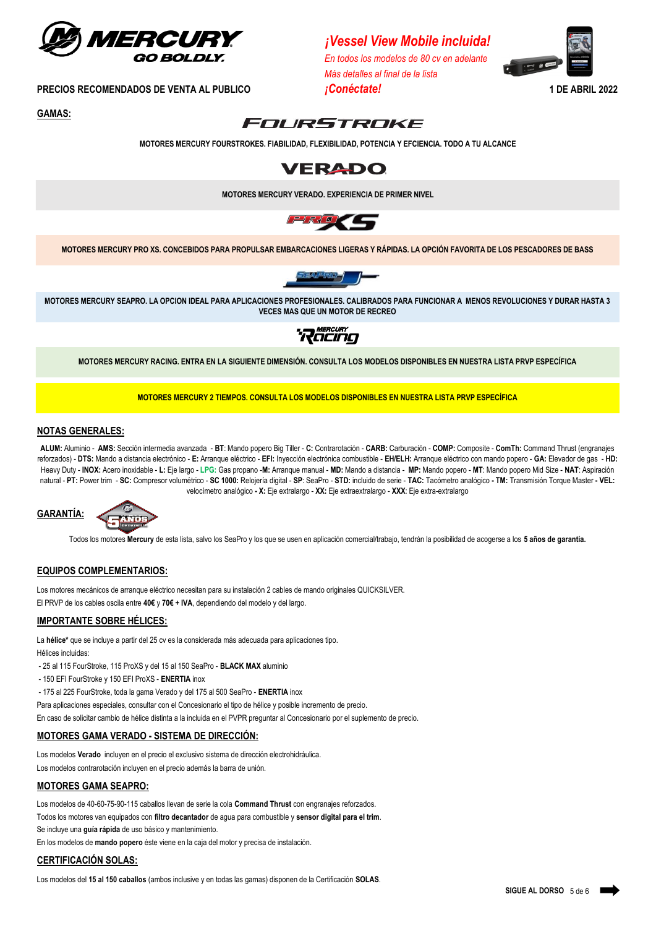

*<i>¡Vessel View Mobile incluida!* 

*En todos los modelos de 80 cv en adelante Más detalles al final de la lista*



**PRECIOS RECOMENDADOS DE VENTA AL PUBLICO** *¡Conéctate!* **1 DE ABRIL 2022**

**GAMAS:**



**MOTORES MERCURY FOURSTROKES. FIABILIDAD, FLEXIBILIDAD, POTENCIA Y EFCIENCIA. TODO A TU ALCANCE**



**MOTORES MERCURY VERADO. EXPERIENCIA DE PRIMER NIVEL**



**MOTORES MERCURY PRO XS. CONCEBIDOS PARA PROPULSAR EMBARCACIONES LIGERAS Y RÁPIDAS. LA OPCIÓN FAVORITA DE LOS PESCADORES DE BASS**



**MOTORES MERCURY SEAPRO. LA OPCION IDEAL PARA APLICACIONES PROFESIONALES. CALIBRADOS PARA FUNCIONAR A MENOS REVOLUCIONES Y DURAR HASTA 3 VECES MAS QUE UN MOTOR DE RECREO**



**MOTORES MERCURY RACING. ENTRA EN LA SIGUIENTE DIMENSIÓN. CONSULTA LOS MODELOS DISPONIBLES EN NUESTRA LISTA PRVP ESPECÍFICA**

**MOTORES MERCURY 2 TIEMPOS. CONSULTA LOS MODELOS DISPONIBLES EN NUESTRA LISTA PRVP ESPECÍFICA**

## **NOTAS GENERALES:**

**ALUM:** Aluminio - **AMS:** Sección intermedia avanzada - **BT**: Mando popero Big Tiller - **C:** Contrarotación - **CARB:** Carburación - **COMP:** Composite - **ComTh:** Command Thrust (engranajes reforzados) - DTS: Mando a distancia electrónico - E: Arranque eléctrico - EFI: Invección electrónica combustible - EH/ELH: Arranque eléctrico con mando popero - GA: Elevador de qas - HD: Heavy Duty - INOX: Acero inoxidable - L: Eje largo - LPG: Gas propano -M: Arranque manual - MD: Mando a distancia - MP: Mando popero - MT: Mando popero Mid Size - NAT: Aspiración natural - PT: Power trim - SC: Compresor volumétrico - SC 1000: Relojería digital - SP: SeaPro - STD: incluido de serie - TAC: Tacómetro analógico - TM: Transmisión Torque Master - VEL: velocímetro analógico **- X:** Eje extralargo - **XX:** Eje extraextralargo - **XXX**: Eje extra-extralargo



Todos los motores **Mercury** de esta lista, salvo los SeaPro y los que se usen en aplicación comercial/trabajo, tendrán la posibilidad de acogerse a los **5 años de garantía.**

### **EQUIPOS COMPLEMENTARIOS:**

Los motores mecánicos de arranque eléctrico necesitan para su instalación 2 cables de mando originales QUICKSILVER. El PRVP de los cables oscila entre **40€** y **70€ + IVA**, dependiendo del modelo y del largo.

### **IMPORTANTE SOBRE HÉLICES:**

La **hélice\*** que se incluye a partir del 25 cv es la considerada más adecuada para aplicaciones tipo. Hélices incluidas:

- 25 al 115 FourStroke, 115 ProXS y del 15 al 150 SeaPro - **BLACK MAX** aluminio

- 150 EFI FourStroke y 150 EFI ProXS **ENERTIA** inox
- 175 al 225 FourStroke, toda la gama Verado y del 175 al 500 SeaPro **ENERTIA** inox

Para aplicaciones especiales, consultar con el Concesionario el tipo de hélice y posible incremento de precio.

En caso de solicitar cambio de hélice distinta a la incluida en el PVPR preguntar al Concesionario por el suplemento de precio.

#### **MOTORES GAMA VERADO - SISTEMA DE DIRECCIÓN:**

Los modelos **Verado** incluyen en el precio el exclusivo sistema de dirección electrohidráulica.

Los modelos contrarotación incluyen en el precio además la barra de unión.

#### **MOTORES GAMA SEAPRO:**

Los modelos de 40-60-75-90-115 caballos llevan de serie la cola **Command Thrust** con engranajes reforzados.

Todos los motores van equipados con **filtro decantador** de agua para combustible y **sensor digital para el trim**.

Se incluye una **guía rápida** de uso básico y mantenimiento.

En los modelos de **mando popero** éste viene en la caja del motor y precisa de instalación.

## **CERTIFICACIÓN SOLAS:**

Los modelos del **15 al 150 caballos** (ambos inclusive y en todas las gamas) disponen de la Certificación **SOLAS**.